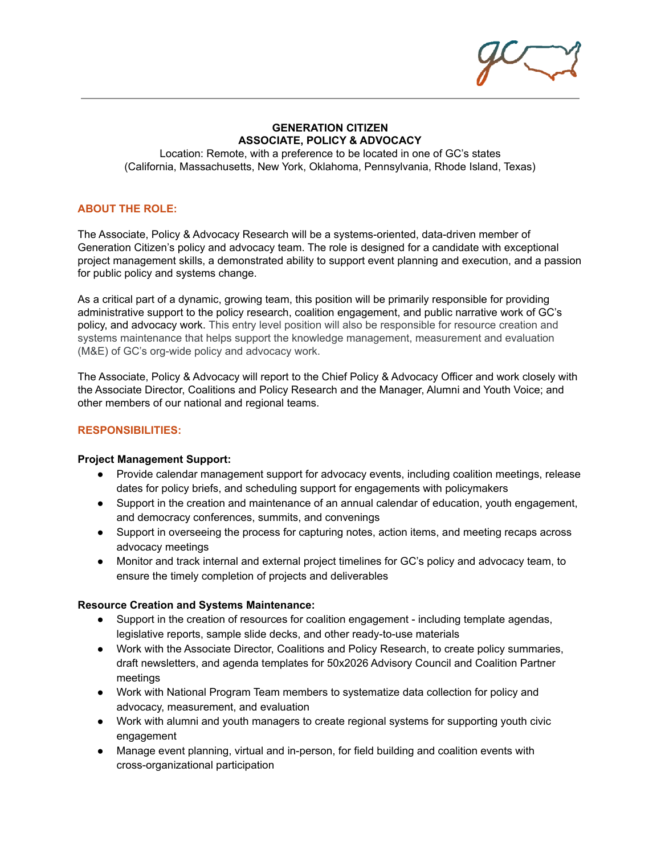#### **GENERATION CITIZEN ASSOCIATE, POLICY & ADVOCACY**

Location: Remote, with a preference to be located in one of GC's states (California, Massachusetts, New York, Oklahoma, Pennsylvania, Rhode Island, Texas)

# **ABOUT THE ROLE:**

The Associate, Policy & Advocacy Research will be a systems-oriented, data-driven member of Generation Citizen's policy and advocacy team. The role is designed for a candidate with exceptional project management skills, a demonstrated ability to support event planning and execution, and a passion for public policy and systems change.

As a critical part of a dynamic, growing team, this position will be primarily responsible for providing administrative support to the policy research, coalition engagement, and public narrative work of GC's policy, and advocacy work. This entry level position will also be responsible for resource creation and systems maintenance that helps support the knowledge management, measurement and evaluation (M&E) of GC's org-wide policy and advocacy work.

The Associate, Policy & Advocacy will report to the Chief Policy & Advocacy Officer and work closely with the Associate Director, Coalitions and Policy Research and the Manager, Alumni and Youth Voice; and other members of our national and regional teams.

# **RESPONSIBILITIES:**

#### **Project Management Support:**

- Provide calendar management support for advocacy events, including coalition meetings, release dates for policy briefs, and scheduling support for engagements with policymakers
- Support in the creation and maintenance of an annual calendar of education, youth engagement, and democracy conferences, summits, and convenings
- Support in overseeing the process for capturing notes, action items, and meeting recaps across advocacy meetings
- Monitor and track internal and external project timelines for GC's policy and advocacy team, to ensure the timely completion of projects and deliverables

#### **Resource Creation and Systems Maintenance:**

- Support in the creation of resources for coalition engagement including template agendas, legislative reports, sample slide decks, and other ready-to-use materials
- Work with the Associate Director, Coalitions and Policy Research, to create policy summaries, draft newsletters, and agenda templates for 50x2026 Advisory Council and Coalition Partner meetings
- Work with National Program Team members to systematize data collection for policy and advocacy, measurement, and evaluation
- Work with alumni and youth managers to create regional systems for supporting youth civic engagement
- Manage event planning, virtual and in-person, for field building and coalition events with cross-organizational participation